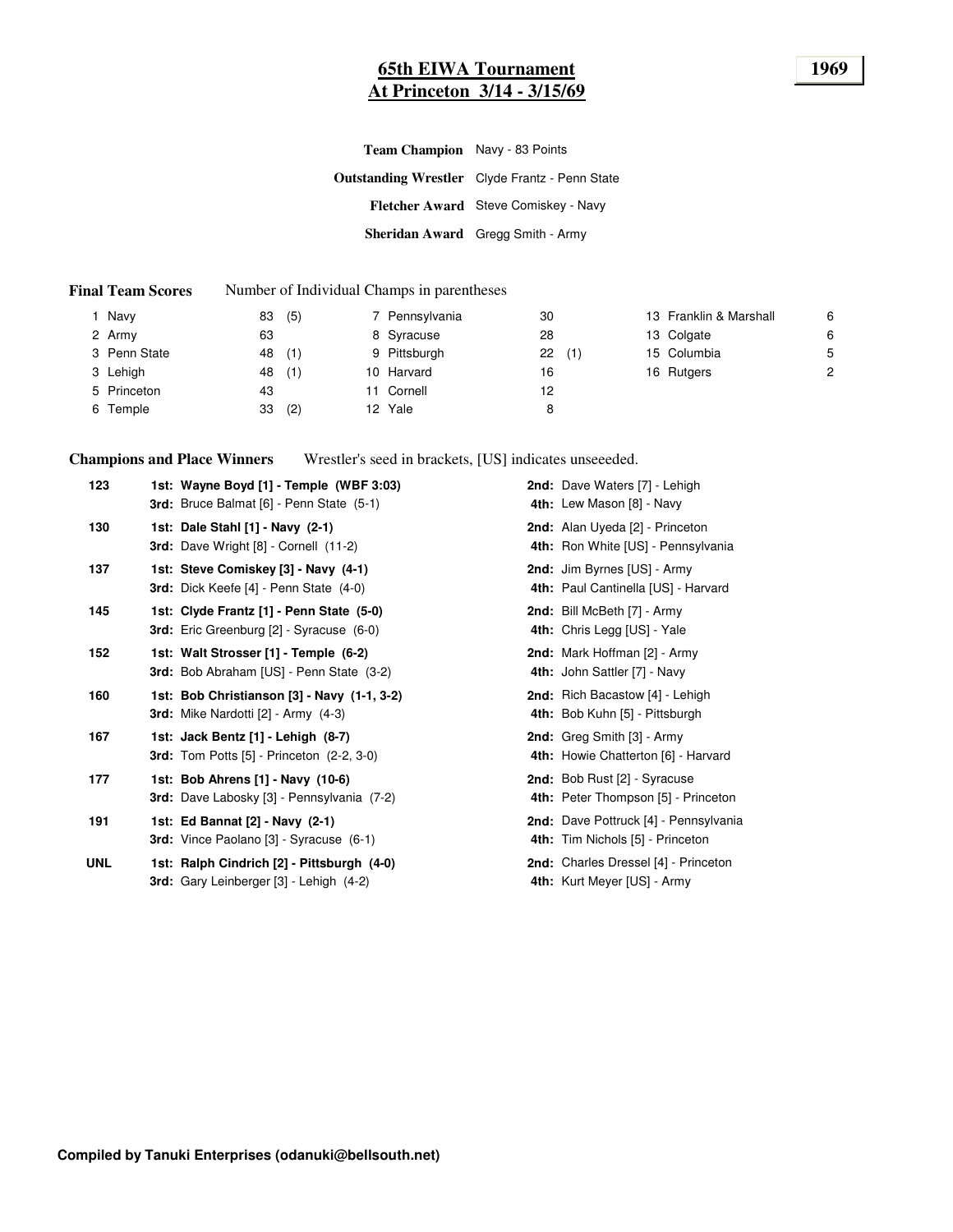### **65th EIWA Tournament 1969 At Princeton 3/14 - 3/15/69**

**Outstanding Wrestler** Clyde Frantz - Penn State **Fletcher Award** Steve Comiskey - Navy **Sheridan Award** Gregg Smith - Army **Team Champion** Navy - 83 Points

#### **Final Team Scores** Number of Individual Champs in parentheses

| Navy         | 83 | (5) | 7 Pennsylvania | 30 |     | 13 Franklin & Marshall | 6 |
|--------------|----|-----|----------------|----|-----|------------------------|---|
| 2 Army       | 63 |     | 8 Syracuse     | 28 |     | 13 Colgate             | 6 |
| 3 Penn State | 48 | (1) | 9 Pittsburgh   | 22 | (1) | 15 Columbia            | 5 |
| 3 Lehigh     | 48 | (1) | 10 Harvard     | 16 |     | 16 Rutgers             | 2 |
| 5 Princeton  | 43 |     | 11 Cornell     | 12 |     |                        |   |
| 6 Temple     | 33 | (2) | 12 Yale        | 8  |     |                        |   |
|              |    |     |                |    |     |                        |   |

**Champions and Place Winners** Wrestler's seed in brackets, [US] indicates unseeeded.

| 123        | 1st: Wayne Boyd [1] - Temple (WBF 3:03)<br>3rd: Bruce Balmat [6] - Penn State (5-1)         | 2nd: Dave Waters [7] - Lehigh<br>4th: Lew Mason [8] - Navy                |
|------------|---------------------------------------------------------------------------------------------|---------------------------------------------------------------------------|
| 130        | 1st: Dale Stahl [1] - Navy (2-1)<br>3rd: Dave Wright [8] - Cornell (11-2)                   | 2nd: Alan Uyeda [2] - Princeton<br>4th: Ron White [US] - Pennsylvania     |
| 137        | 1st: Steve Comiskey [3] - Navy (4-1)<br>3rd: Dick Keefe [4] - Penn State (4-0)              | 2nd: Jim Byrnes [US] - Army<br>4th: Paul Cantinella [US] - Harvard        |
| 145        | 1st: Clyde Frantz [1] - Penn State (5-0)<br><b>3rd:</b> Eric Greenburg [2] - Syracuse (6-0) | 2nd: Bill McBeth [7] - Army<br>4th: Chris Legg [US] - Yale                |
| 152        | 1st: Walt Strosser [1] - Temple (6-2)<br>3rd: Bob Abraham [US] - Penn State (3-2)           | 2nd: Mark Hoffman [2] - Army<br>4th: John Sattler [7] - Navy              |
| 160        | 1st: Bob Christianson [3] - Navy (1-1, 3-2)<br>3rd: Mike Nardotti [2] - Army (4-3)          | 2nd: Rich Bacastow [4] - Lehigh<br>4th: Bob Kuhn [5] - Pittsburgh         |
| 167        | 1st: Jack Bentz [1] - Lehigh (8-7)<br><b>3rd:</b> Tom Potts [5] - Princeton (2-2, 3-0)      | 2nd: Greg Smith [3] - Army<br>4th: Howie Chatterton [6] - Harvard         |
| 177        | 1st: Bob Ahrens [1] - Navy (10-6)<br><b>3rd:</b> Dave Labosky [3] - Pennsylvania (7-2)      | 2nd: Bob Rust [2] - Syracuse<br>4th: Peter Thompson [5] - Princeton       |
| 191        | 1st: Ed Bannat [2] - Navy (2-1)<br><b>3rd:</b> Vince Paolano [3] - Syracuse (6-1)           | 2nd: Dave Pottruck [4] - Pennsylvania<br>4th: Tim Nichols [5] - Princeton |
| <b>UNL</b> | 1st: Ralph Cindrich [2] - Pittsburgh (4-0)<br>3rd: Gary Leinberger [3] - Lehigh (4-2)       | 2nd: Charles Dressel [4] - Princeton<br>4th: Kurt Meyer [US] - Army       |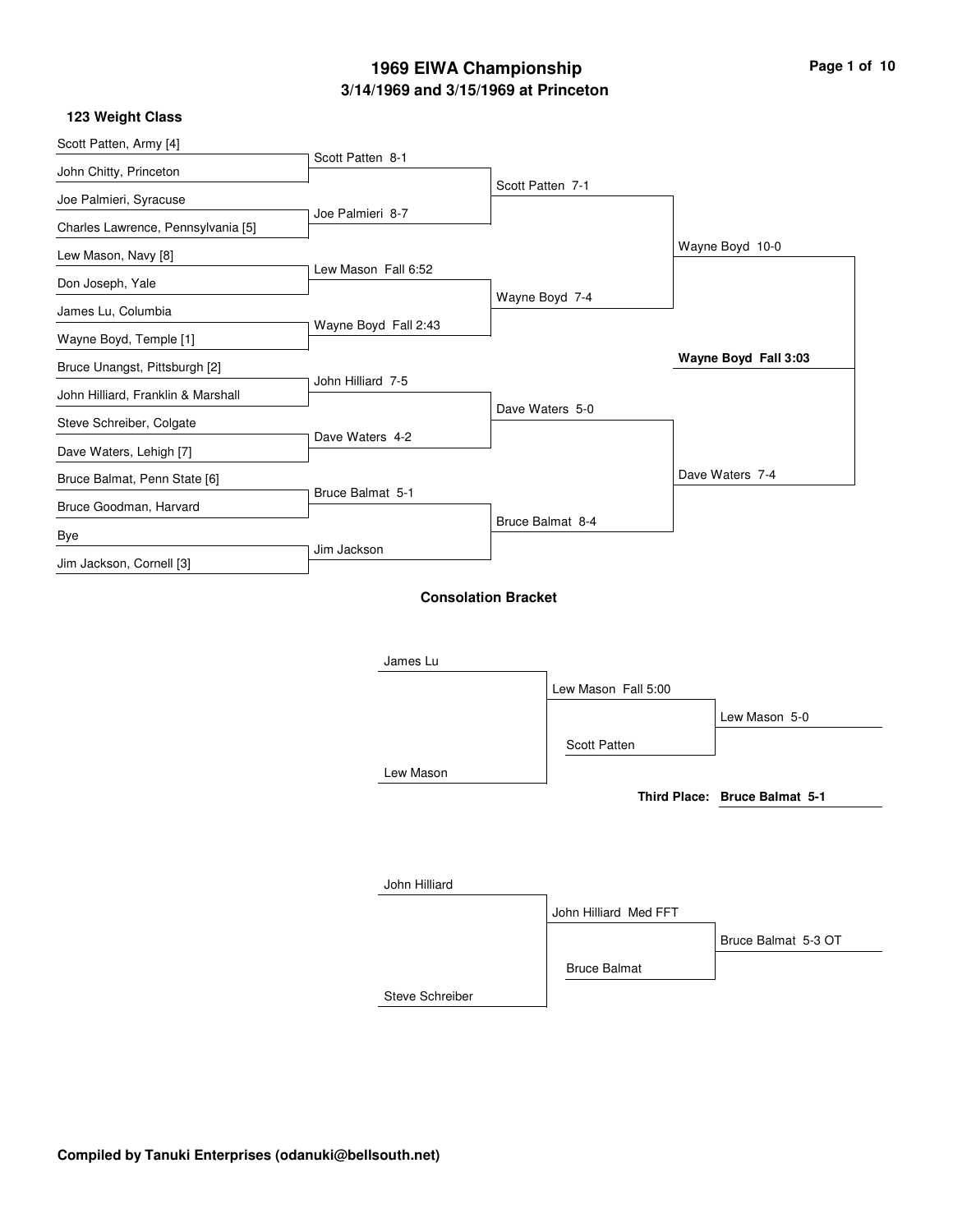| Scott Patten, Army [4]             |                      |                            |                      |
|------------------------------------|----------------------|----------------------------|----------------------|
|                                    | Scott Patten 8-1     |                            |                      |
| John Chitty, Princeton             |                      | Scott Patten 7-1           |                      |
| Joe Palmieri, Syracuse             |                      |                            |                      |
| Charles Lawrence, Pennsylvania [5] | Joe Palmieri 8-7     |                            |                      |
| Lew Mason, Navy [8]                |                      |                            | Wayne Boyd 10-0      |
| Don Joseph, Yale                   | Lew Mason Fall 6:52  |                            |                      |
|                                    |                      | Wayne Boyd 7-4             |                      |
| James Lu, Columbia                 | Wayne Boyd Fall 2:43 |                            |                      |
| Wayne Boyd, Temple [1]             |                      |                            |                      |
| Bruce Unangst, Pittsburgh [2]      |                      |                            | Wayne Boyd Fall 3:03 |
| John Hilliard, Franklin & Marshall | John Hilliard 7-5    |                            |                      |
|                                    |                      | Dave Waters 5-0            |                      |
| Steve Schreiber, Colgate           | Dave Waters 4-2      |                            |                      |
| Dave Waters, Lehigh [7]            |                      |                            |                      |
| Bruce Balmat, Penn State [6]       |                      |                            | Dave Waters 7-4      |
| Bruce Goodman, Harvard             | Bruce Balmat 5-1     |                            |                      |
|                                    |                      | Bruce Balmat 8-4           |                      |
| Bye                                | Jim Jackson          |                            |                      |
| Jim Jackson, Cornell [3]           |                      |                            |                      |
|                                    |                      | <b>Consolation Bracket</b> |                      |

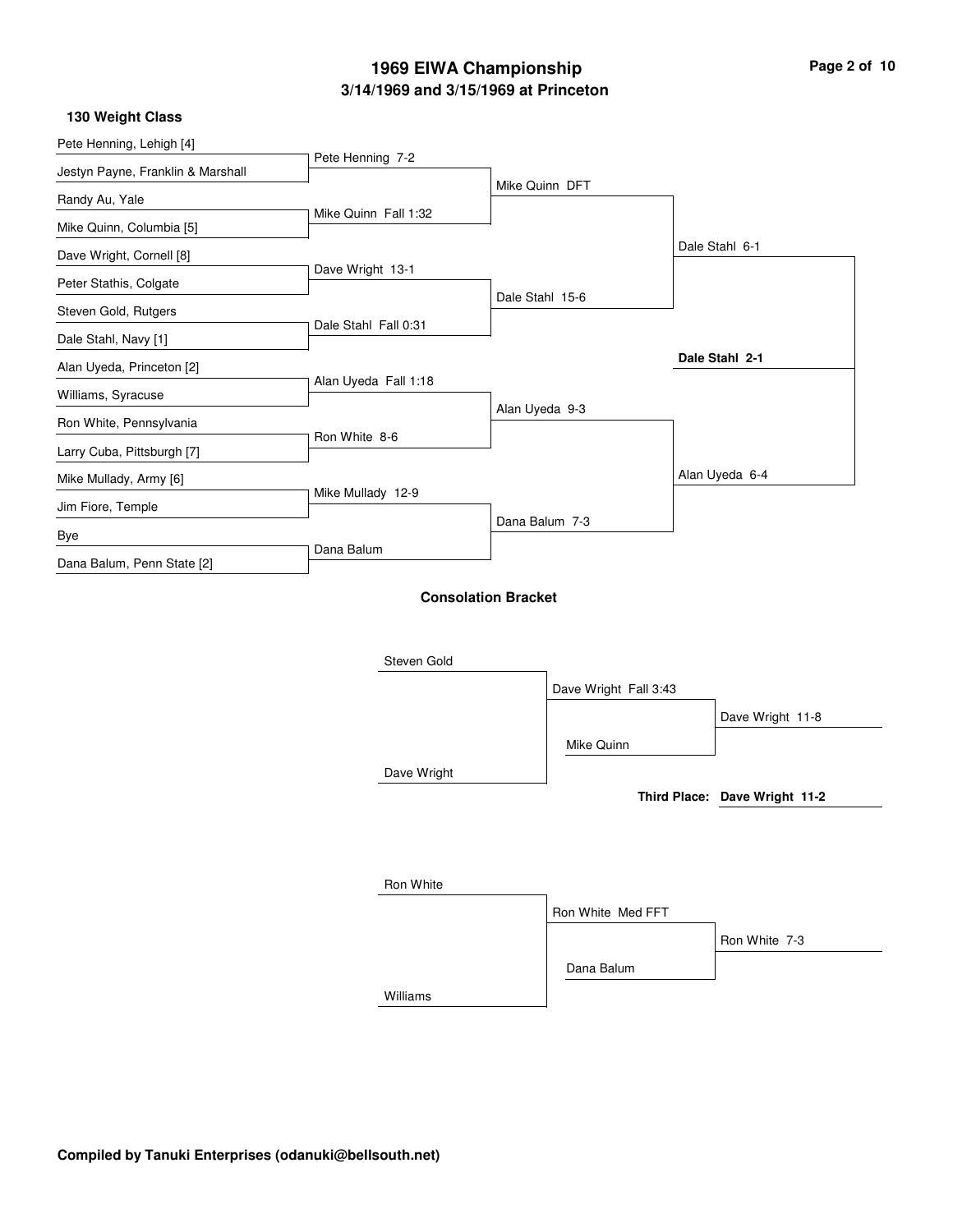| Page 2 of 10 |  |  |  |
|--------------|--|--|--|
|--------------|--|--|--|

#### **130 Weight Class**

| Pete Henning, Lehigh [4]          |                      |                            |                       |                               |
|-----------------------------------|----------------------|----------------------------|-----------------------|-------------------------------|
| Jestyn Payne, Franklin & Marshall | Pete Henning 7-2     |                            |                       |                               |
| Randy Au, Yale                    |                      | Mike Quinn DFT             |                       |                               |
| Mike Quinn, Columbia [5]          | Mike Quinn Fall 1:32 |                            |                       |                               |
| Dave Wright, Cornell [8]          |                      |                            |                       | Dale Stahl 6-1                |
|                                   | Dave Wright 13-1     |                            |                       |                               |
| Peter Stathis, Colgate            |                      | Dale Stahl 15-6            |                       |                               |
| Steven Gold, Rutgers              | Dale Stahl Fall 0:31 |                            |                       |                               |
| Dale Stahl, Navy [1]              |                      |                            |                       | Dale Stahl 2-1                |
| Alan Uyeda, Princeton [2]         | Alan Uyeda Fall 1:18 |                            |                       |                               |
| Williams, Syracuse                |                      | Alan Uyeda 9-3             |                       |                               |
| Ron White, Pennsylvania           | Ron White 8-6        |                            |                       |                               |
| Larry Cuba, Pittsburgh [7]        |                      |                            |                       |                               |
| Mike Mullady, Army [6]            |                      |                            |                       | Alan Uyeda 6-4                |
| Jim Fiore, Temple                 | Mike Mullady 12-9    |                            |                       |                               |
| Bye                               |                      | Dana Balum 7-3             |                       |                               |
| Dana Balum, Penn State [2]        | Dana Balum           |                            |                       |                               |
|                                   |                      | <b>Consolation Bracket</b> |                       |                               |
|                                   |                      |                            |                       |                               |
|                                   |                      |                            |                       |                               |
|                                   | Steven Gold          |                            |                       |                               |
|                                   |                      |                            | Dave Wright Fall 3:43 |                               |
|                                   |                      |                            |                       | Dave Wright 11-8              |
|                                   |                      |                            | Mike Quinn            |                               |
|                                   | Dave Wright          |                            |                       |                               |
|                                   |                      |                            |                       | Third Place: Dave Wright 11-2 |
|                                   |                      |                            |                       |                               |
|                                   |                      |                            |                       |                               |
|                                   |                      |                            |                       |                               |
|                                   | Ron White            |                            |                       |                               |
|                                   |                      |                            | Ron White Med FFT     |                               |

Dana Balum

Ron White 7-3

Williams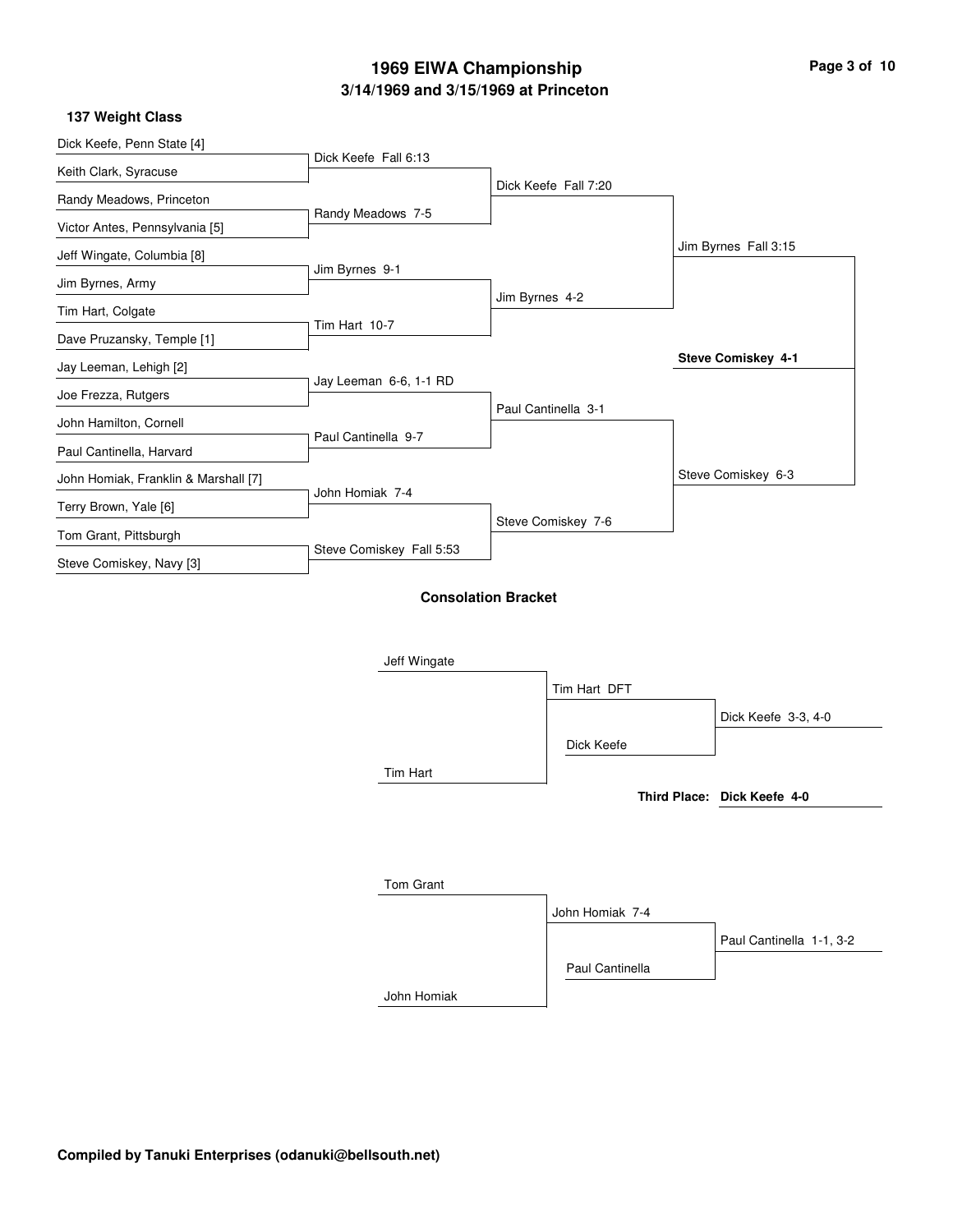### **137 Weight Class**

| Dick Keefe Fall 7:20<br>Jim Byrnes 4-2<br>Paul Cantinella 3-1 |                                                                                | Jim Byrnes Fall 3:15<br>Steve Comiskey 4-1 |
|---------------------------------------------------------------|--------------------------------------------------------------------------------|--------------------------------------------|
|                                                               |                                                                                |                                            |
|                                                               |                                                                                |                                            |
|                                                               |                                                                                |                                            |
|                                                               |                                                                                |                                            |
|                                                               |                                                                                |                                            |
|                                                               |                                                                                |                                            |
|                                                               |                                                                                |                                            |
|                                                               |                                                                                |                                            |
|                                                               |                                                                                |                                            |
|                                                               |                                                                                |                                            |
|                                                               |                                                                                |                                            |
|                                                               |                                                                                |                                            |
|                                                               |                                                                                |                                            |
|                                                               |                                                                                | Steve Comiskey 6-3                         |
|                                                               |                                                                                |                                            |
|                                                               |                                                                                |                                            |
|                                                               |                                                                                |                                            |
|                                                               |                                                                                |                                            |
|                                                               |                                                                                |                                            |
|                                                               |                                                                                |                                            |
|                                                               |                                                                                |                                            |
|                                                               |                                                                                |                                            |
|                                                               |                                                                                | Dick Keefe 3-3, 4-0                        |
|                                                               |                                                                                |                                            |
|                                                               |                                                                                |                                            |
|                                                               |                                                                                |                                            |
|                                                               |                                                                                | Third Place: Dick Keefe 4-0                |
|                                                               | Steve Comiskey 7-6<br><b>Consolation Bracket</b><br>Tim Hart DFT<br>Dick Keefe |                                            |

|             | John Homiak 7-4 |                          |
|-------------|-----------------|--------------------------|
|             |                 | Paul Cantinella 1-1, 3-2 |
|             | Paul Cantinella |                          |
| John Homiak |                 |                          |

**Compiled by Tanuki Enterprises (odanuki@bellsouth.net)**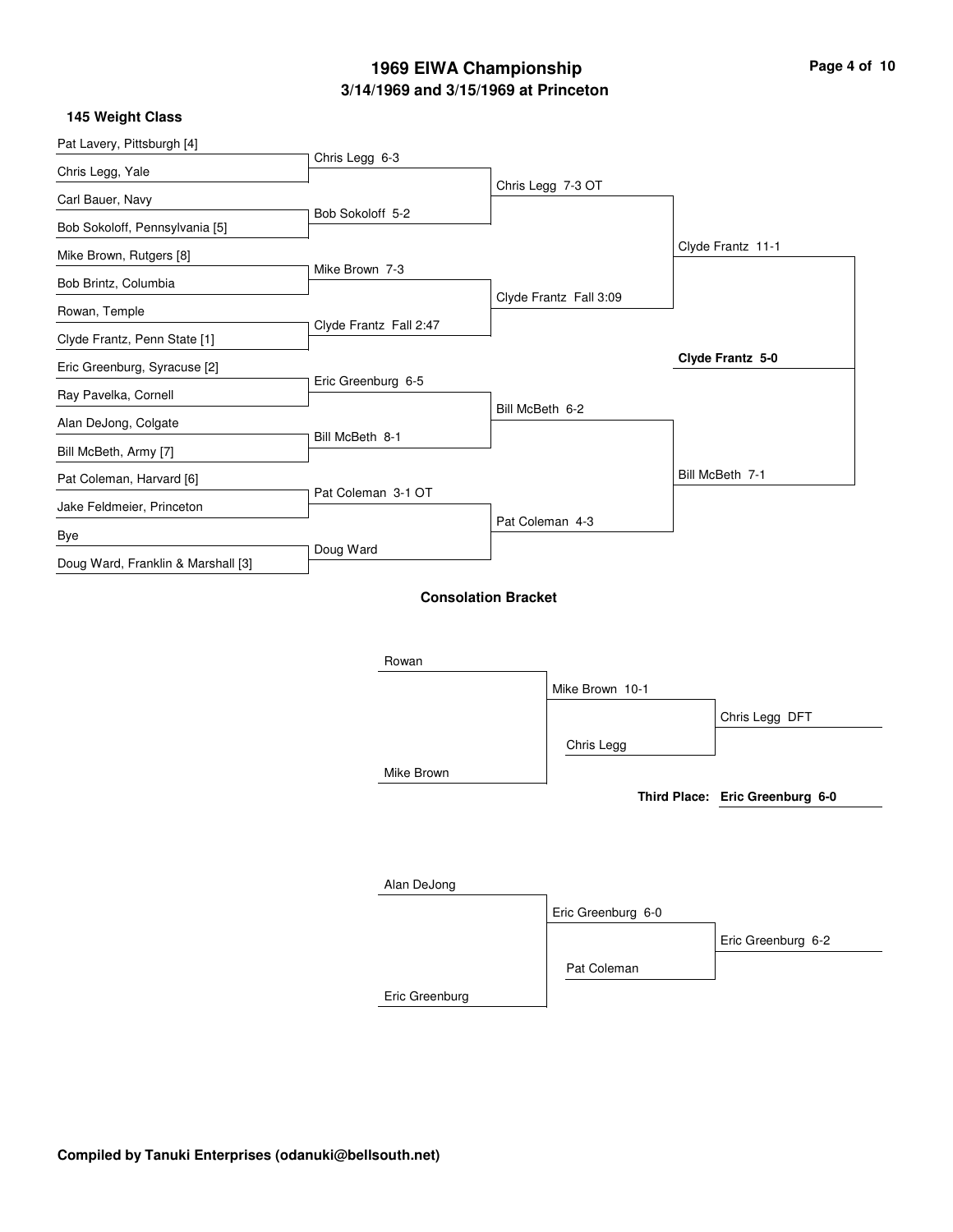| Page 4 of 10 |  |  |
|--------------|--|--|
|              |  |  |

 $\overline{\phantom{0}}$ 

### **145 Weight Class**

| Pat Lavery, Pittsburgh [4]         | Chris Legg 6-3         |                            |                        |                                 |
|------------------------------------|------------------------|----------------------------|------------------------|---------------------------------|
| Chris Legg, Yale                   |                        |                            |                        |                                 |
| Carl Bauer, Navy                   |                        |                            | Chris Legg 7-3 OT      |                                 |
| Bob Sokoloff, Pennsylvania [5]     | Bob Sokoloff 5-2       |                            |                        |                                 |
| Mike Brown, Rutgers [8]            |                        |                            |                        | Clyde Frantz 11-1               |
| Bob Brintz, Columbia               | Mike Brown 7-3         |                            |                        |                                 |
| Rowan, Temple                      |                        |                            | Clyde Frantz Fall 3:09 |                                 |
| Clyde Frantz, Penn State [1]       | Clyde Frantz Fall 2:47 |                            |                        |                                 |
| Eric Greenburg, Syracuse [2]       |                        |                            |                        | Clyde Frantz 5-0                |
| Ray Pavelka, Cornell               | Eric Greenburg 6-5     |                            |                        |                                 |
| Alan DeJong, Colgate               |                        | Bill McBeth 6-2            |                        |                                 |
| Bill McBeth, Army [7]              | Bill McBeth 8-1        |                            |                        |                                 |
| Pat Coleman, Harvard [6]           |                        |                            |                        | Bill McBeth 7-1                 |
| Jake Feldmeier, Princeton          | Pat Coleman 3-1 OT     |                            |                        |                                 |
| Bye                                |                        |                            | Pat Coleman 4-3        |                                 |
| Doug Ward, Franklin & Marshall [3] | Doug Ward              |                            |                        |                                 |
|                                    |                        | <b>Consolation Bracket</b> |                        |                                 |
|                                    |                        |                            |                        |                                 |
|                                    |                        |                            |                        |                                 |
|                                    | Rowan                  |                            |                        |                                 |
|                                    |                        |                            | Mike Brown 10-1        |                                 |
|                                    |                        |                            |                        | Chris Legg DFT                  |
|                                    |                        |                            | Chris Legg             |                                 |
|                                    | Mike Brown             |                            |                        |                                 |
|                                    |                        |                            |                        | Third Place: Eric Greenburg 6-0 |
|                                    |                        |                            |                        |                                 |
|                                    |                        |                            |                        |                                 |
|                                    | Alan DeJong            |                            |                        |                                 |
|                                    |                        |                            | Eric Greenburg 6-0     |                                 |
|                                    |                        |                            |                        | Eric Greenburg 6-2              |
|                                    |                        |                            | Pat Coleman            |                                 |
|                                    | Eric Greenburg         |                            |                        |                                 |
|                                    |                        |                            |                        |                                 |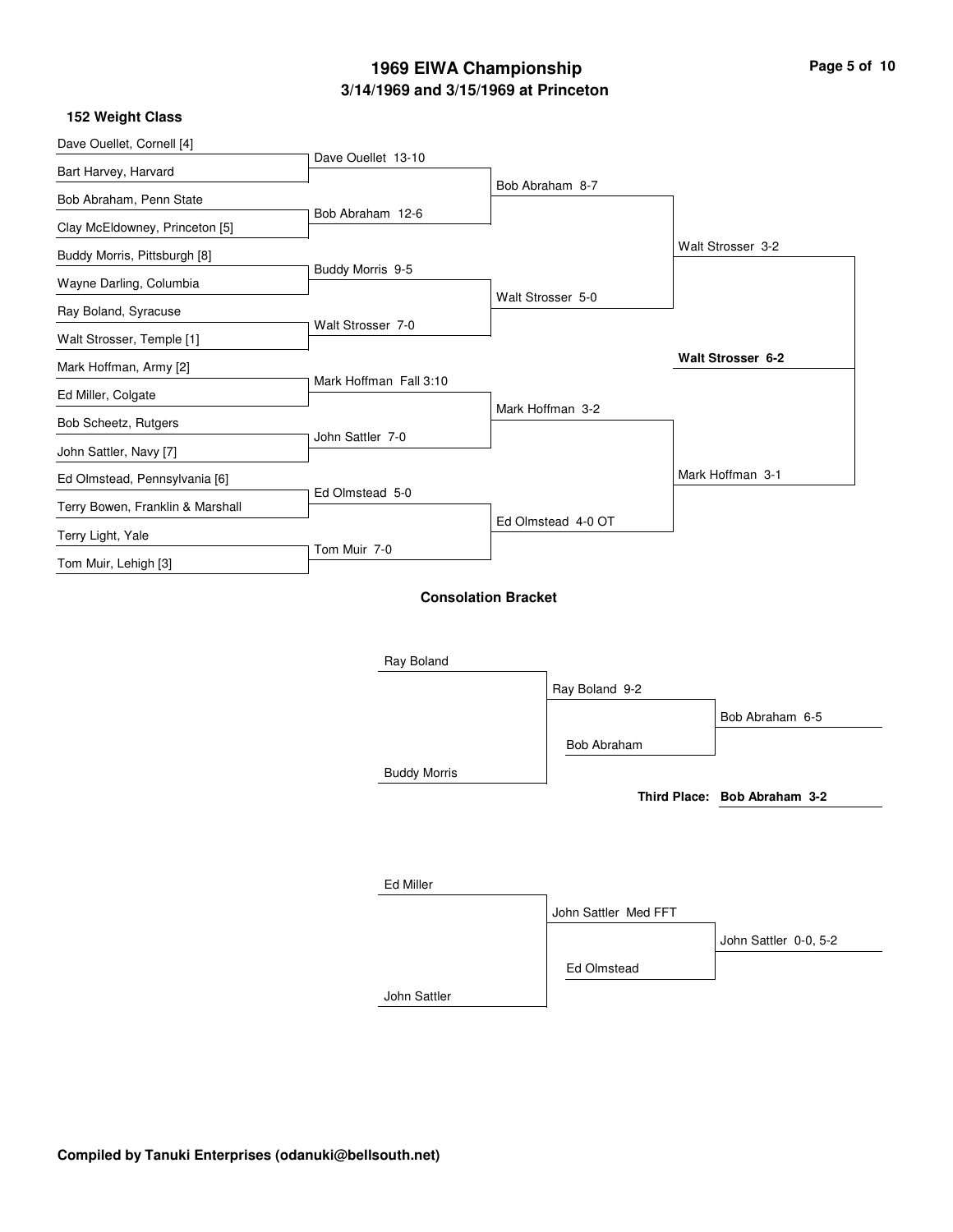| Page 5 of 10 |  |
|--------------|--|
|--------------|--|

### **152 Weight Class**

| Dave Ouellet, Cornell [4]        | Dave Ouellet 13-10     |                            |                      |                              |
|----------------------------------|------------------------|----------------------------|----------------------|------------------------------|
| Bart Harvey, Harvard             |                        |                            |                      |                              |
| Bob Abraham, Penn State          |                        |                            | Bob Abraham 8-7      |                              |
| Clay McEldowney, Princeton [5]   | Bob Abraham 12-6       |                            |                      |                              |
| Buddy Morris, Pittsburgh [8]     |                        |                            |                      | Walt Strosser 3-2            |
| Wayne Darling, Columbia          | Buddy Morris 9-5       |                            |                      |                              |
| Ray Boland, Syracuse             |                        |                            | Walt Strosser 5-0    |                              |
| Walt Strosser, Temple [1]        | Walt Strosser 7-0      |                            |                      |                              |
| Mark Hoffman, Army [2]           |                        |                            |                      | Walt Strosser 6-2            |
| Ed Miller, Colgate               | Mark Hoffman Fall 3:10 |                            |                      |                              |
| Bob Scheetz, Rutgers             |                        |                            | Mark Hoffman 3-2     |                              |
| John Sattler, Navy [7]           | John Sattler 7-0       |                            |                      |                              |
| Ed Olmstead, Pennsylvania [6]    |                        |                            |                      | Mark Hoffman 3-1             |
| Terry Bowen, Franklin & Marshall | Ed Olmstead 5-0        |                            |                      |                              |
| Terry Light, Yale                |                        |                            | Ed Olmstead 4-0 OT   |                              |
| Tom Muir, Lehigh [3]             | Tom Muir 7-0           |                            |                      |                              |
|                                  |                        | <b>Consolation Bracket</b> |                      |                              |
|                                  | Ray Boland             |                            |                      |                              |
|                                  |                        |                            | Ray Boland 9-2       |                              |
|                                  |                        |                            |                      | Bob Abraham 6-5              |
|                                  |                        |                            | Bob Abraham          |                              |
|                                  | <b>Buddy Morris</b>    |                            |                      |                              |
|                                  |                        |                            |                      | Third Place: Bob Abraham 3-2 |
|                                  |                        |                            |                      |                              |
|                                  |                        |                            |                      |                              |
|                                  | Ed Miller              |                            |                      |                              |
|                                  |                        |                            | John Sattler Med FFT |                              |
|                                  |                        |                            |                      | John Sattler 0-0, 5-2        |
|                                  |                        |                            | Ed Olmstead          |                              |

John Sattler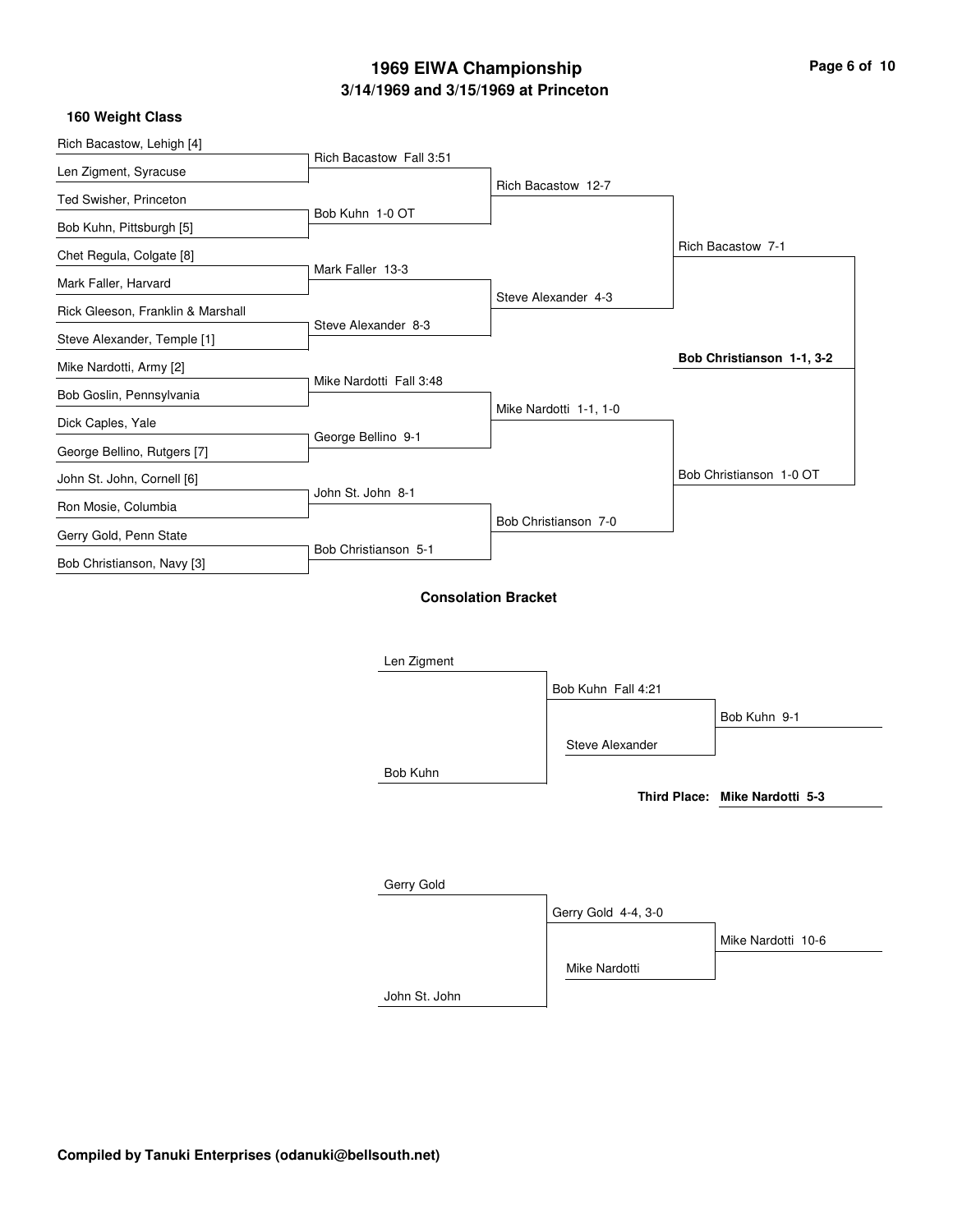|                      | Rich Bacastow 12-7                                                                                                   |                                                |
|----------------------|----------------------------------------------------------------------------------------------------------------------|------------------------------------------------|
| Bob Kuhn 1-0 OT      |                                                                                                                      |                                                |
|                      |                                                                                                                      | Rich Bacastow 7-1                              |
| Mark Faller 13-3     |                                                                                                                      |                                                |
|                      | Steve Alexander 4-3                                                                                                  |                                                |
|                      |                                                                                                                      |                                                |
|                      |                                                                                                                      | Bob Christianson 1-1, 3-2                      |
|                      |                                                                                                                      |                                                |
|                      |                                                                                                                      |                                                |
|                      |                                                                                                                      |                                                |
|                      |                                                                                                                      | Bob Christianson 1-0 OT                        |
|                      |                                                                                                                      |                                                |
|                      |                                                                                                                      |                                                |
| Bob Christianson 5-1 |                                                                                                                      |                                                |
|                      | Rich Bacastow Fall 3:51<br>Steve Alexander 8-3<br>Mike Nardotti Fall 3:48<br>George Bellino 9-1<br>John St. John 8-1 | Mike Nardotti 1-1, 1-0<br>Bob Christianson 7-0 |

### **Consolation Bracket**

| Len Zigment   |                     |                                |
|---------------|---------------------|--------------------------------|
|               | Bob Kuhn Fall 4:21  |                                |
|               |                     | Bob Kuhn 9-1                   |
|               | Steve Alexander     |                                |
| Bob Kuhn      |                     |                                |
|               |                     | Third Place: Mike Nardotti 5-3 |
|               |                     |                                |
|               |                     |                                |
| Gerry Gold    |                     |                                |
|               | Gerry Gold 4-4, 3-0 |                                |
|               |                     | Mike Nardotti 10-6             |
|               | Mike Nardotti       |                                |
| John St. John |                     |                                |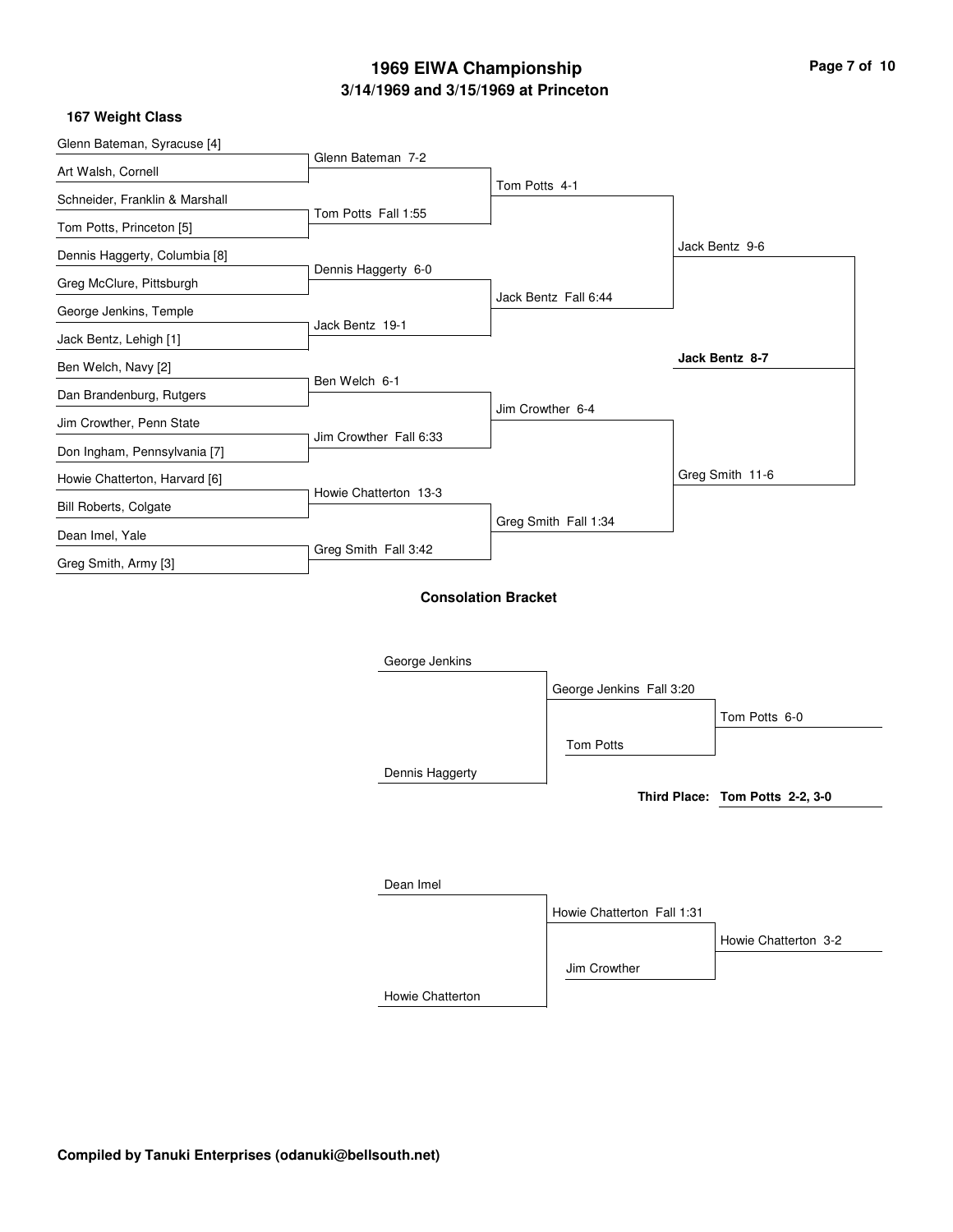**167 Weight Class**

| Glenn Bateman, Syracuse [4]    |                        |                            |                            |                                 |
|--------------------------------|------------------------|----------------------------|----------------------------|---------------------------------|
| Art Walsh, Cornell             | Glenn Bateman 7-2      |                            |                            |                                 |
| Schneider, Franklin & Marshall |                        | Tom Potts 4-1              |                            |                                 |
| Tom Potts, Princeton [5]       | Tom Potts Fall 1:55    |                            |                            |                                 |
| Dennis Haggerty, Columbia [8]  |                        |                            |                            | Jack Bentz 9-6                  |
| Greg McClure, Pittsburgh       | Dennis Haggerty 6-0    |                            |                            |                                 |
| George Jenkins, Temple         |                        |                            | Jack Bentz Fall 6:44       |                                 |
| Jack Bentz, Lehigh [1]         | Jack Bentz 19-1        |                            |                            |                                 |
| Ben Welch, Navy [2]            |                        |                            |                            | Jack Bentz 8-7                  |
| Dan Brandenburg, Rutgers       | Ben Welch 6-1          |                            |                            |                                 |
| Jim Crowther, Penn State       |                        |                            | Jim Crowther 6-4           |                                 |
| Don Ingham, Pennsylvania [7]   | Jim Crowther Fall 6:33 |                            |                            |                                 |
| Howie Chatterton, Harvard [6]  |                        |                            |                            | Greg Smith 11-6                 |
| <b>Bill Roberts, Colgate</b>   | Howie Chatterton 13-3  |                            |                            |                                 |
| Dean Imel, Yale                |                        |                            | Greg Smith Fall 1:34       |                                 |
| Greg Smith, Army [3]           | Greg Smith Fall 3:42   |                            |                            |                                 |
|                                | George Jenkins         | <b>Consolation Bracket</b> |                            |                                 |
|                                |                        |                            | George Jenkins Fall 3:20   |                                 |
|                                |                        |                            |                            | Tom Potts 6-0                   |
|                                |                        |                            | Tom Potts                  |                                 |
|                                | Dennis Haggerty        |                            |                            |                                 |
|                                |                        |                            |                            | Third Place: Tom Potts 2-2, 3-0 |
|                                | Dean Imel              |                            |                            |                                 |
|                                |                        |                            | Howie Chatterton Fall 1:31 |                                 |
|                                |                        |                            |                            | Howie Chatterton 3-2            |
|                                |                        |                            | Jim Crowther               |                                 |
|                                | Howie Chatterton       |                            |                            |                                 |
|                                |                        |                            |                            |                                 |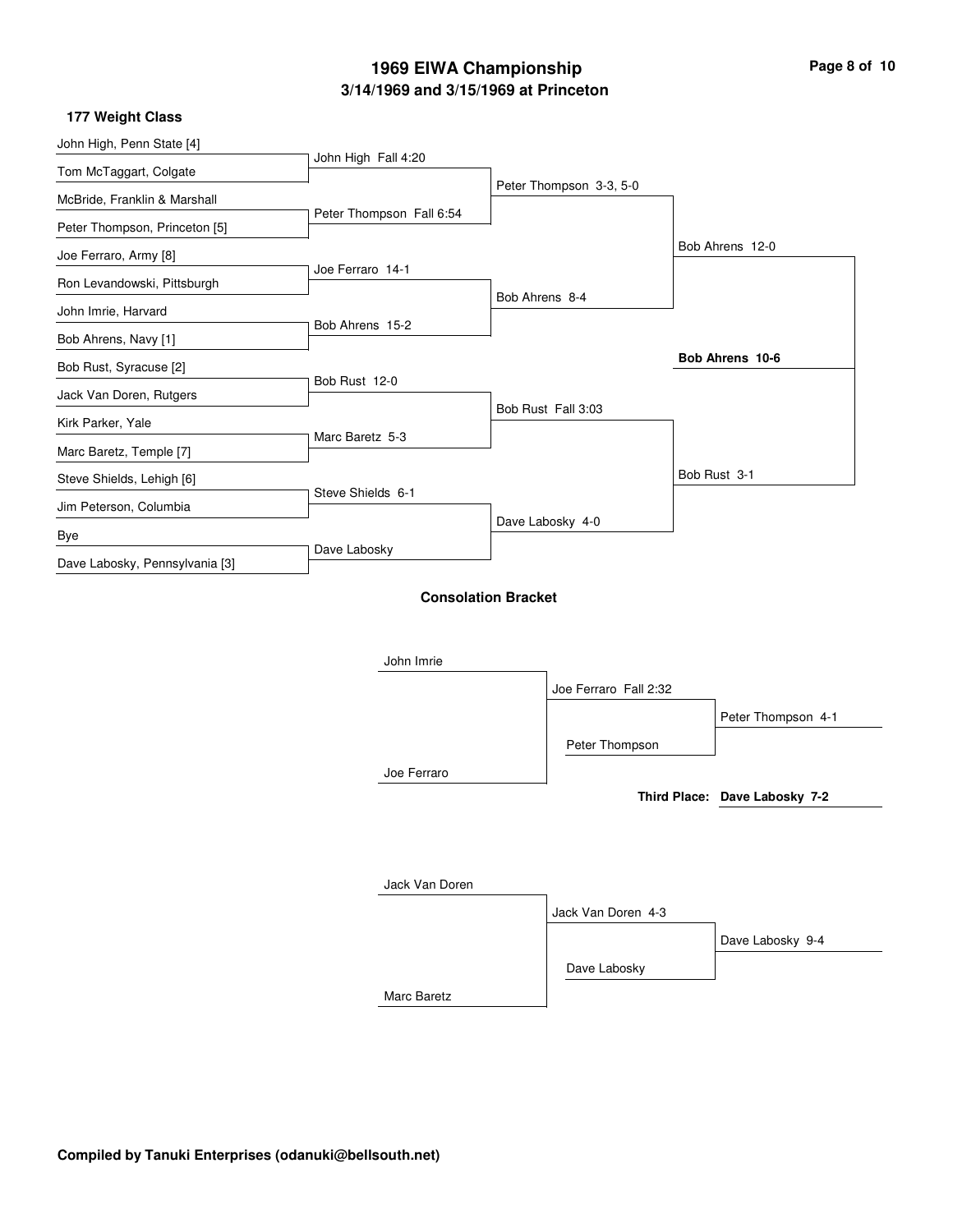| Page 8 of 10 |  |  |
|--------------|--|--|
|--------------|--|--|

### **177 Weight Class**

| John High, Penn State [4]      |                            |                |                         |                               |
|--------------------------------|----------------------------|----------------|-------------------------|-------------------------------|
|                                | John High Fall 4:20        |                |                         |                               |
| Tom McTaggart, Colgate         |                            |                | Peter Thompson 3-3, 5-0 |                               |
| McBride, Franklin & Marshall   | Peter Thompson Fall 6:54   |                |                         |                               |
| Peter Thompson, Princeton [5]  |                            |                |                         | Bob Ahrens 12-0               |
| Joe Ferraro, Army [8]          | Joe Ferraro 14-1           |                |                         |                               |
| Ron Levandowski, Pittsburgh    |                            | Bob Ahrens 8-4 |                         |                               |
| John Imrie, Harvard            |                            |                |                         |                               |
| Bob Ahrens, Navy [1]           | Bob Ahrens 15-2            |                |                         |                               |
| Bob Rust, Syracuse [2]         |                            |                |                         | Bob Ahrens 10-6               |
| Jack Van Doren, Rutgers        | Bob Rust 12-0              |                |                         |                               |
| Kirk Parker, Yale              |                            |                | Bob Rust Fall 3:03      |                               |
| Marc Baretz, Temple [7]        | Marc Baretz 5-3            |                |                         |                               |
| Steve Shields, Lehigh [6]      |                            |                |                         | Bob Rust 3-1                  |
| Jim Peterson, Columbia         | Steve Shields 6-1          |                |                         |                               |
|                                |                            |                | Dave Labosky 4-0        |                               |
| Bye                            | Dave Labosky               |                |                         |                               |
| Dave Labosky, Pennsylvania [3] |                            |                |                         |                               |
|                                | <b>Consolation Bracket</b> |                |                         |                               |
|                                |                            |                |                         |                               |
|                                | John Imrie                 |                |                         |                               |
|                                |                            |                | Joe Ferraro Fall 2:32   |                               |
|                                |                            |                |                         |                               |
|                                |                            |                |                         | Peter Thompson 4-1            |
|                                |                            |                | Peter Thompson          |                               |
|                                | Joe Ferraro                |                |                         |                               |
|                                |                            |                |                         | Third Place: Dave Labosky 7-2 |
|                                |                            |                |                         |                               |
|                                |                            |                |                         |                               |
|                                | Jack Van Doren             |                |                         |                               |
|                                |                            |                | Jack Van Doren 4-3      |                               |
|                                |                            |                |                         | Dave Labosky 9-4              |
|                                |                            |                | Dave Labosky            |                               |
|                                | Marc Baretz                |                |                         |                               |
|                                |                            |                |                         |                               |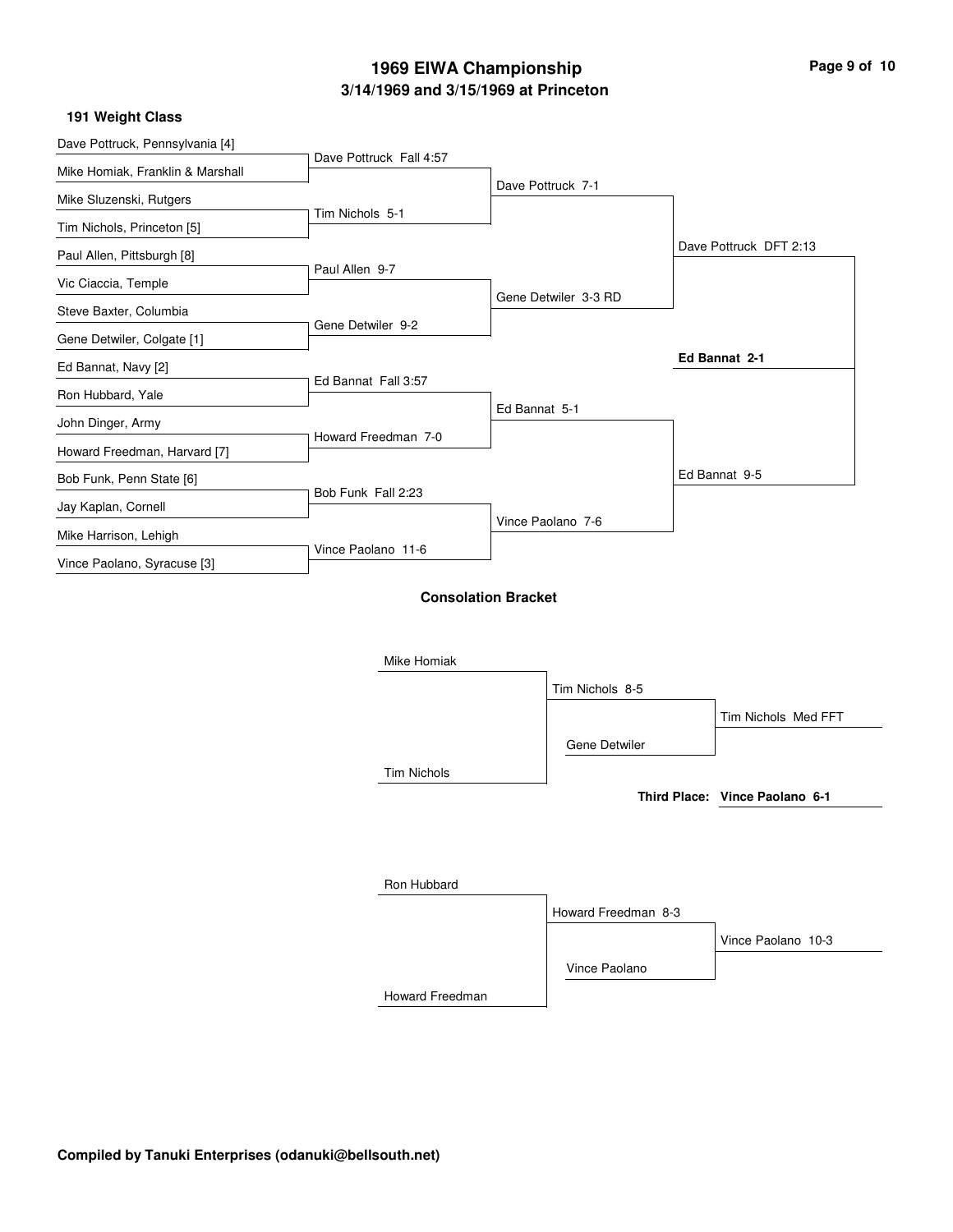### **191 Weight Class**

| Dave Pottruck, Pennsylvania [4]  |                         |                            |                      |                                |
|----------------------------------|-------------------------|----------------------------|----------------------|--------------------------------|
| Mike Homiak, Franklin & Marshall | Dave Pottruck Fall 4:57 |                            |                      |                                |
| Mike Sluzenski, Rutgers          |                         |                            | Dave Pottruck 7-1    |                                |
|                                  | Tim Nichols 5-1         |                            |                      |                                |
| Tim Nichols, Princeton [5]       |                         |                            |                      | Dave Pottruck DFT 2:13         |
| Paul Allen, Pittsburgh [8]       | Paul Allen 9-7          |                            |                      |                                |
| Vic Ciaccia, Temple              |                         |                            | Gene Detwiler 3-3 RD |                                |
| Steve Baxter, Columbia           | Gene Detwiler 9-2       |                            |                      |                                |
| Gene Detwiler, Colgate [1]       |                         |                            |                      |                                |
| Ed Bannat, Navy [2]              |                         |                            |                      | Ed Bannat 2-1                  |
| Ron Hubbard, Yale                | Ed Bannat Fall 3:57     |                            |                      |                                |
| John Dinger, Army                |                         | Ed Bannat 5-1              |                      |                                |
| Howard Freedman, Harvard [7]     | Howard Freedman 7-0     |                            |                      |                                |
| Bob Funk, Penn State [6]         |                         |                            |                      | Ed Bannat 9-5                  |
| Jay Kaplan, Cornell              | Bob Funk Fall 2:23      |                            |                      |                                |
| Mike Harrison, Lehigh            |                         |                            | Vince Paolano 7-6    |                                |
| Vince Paolano, Syracuse [3]      | Vince Paolano 11-6      |                            |                      |                                |
|                                  |                         | <b>Consolation Bracket</b> |                      |                                |
|                                  |                         |                            |                      |                                |
|                                  | Mike Homiak             |                            |                      |                                |
|                                  |                         |                            | Tim Nichols 8-5      |                                |
|                                  |                         |                            |                      | Tim Nichols Med FFT            |
|                                  |                         |                            | Gene Detwiler        |                                |
|                                  | <b>Tim Nichols</b>      |                            |                      |                                |
|                                  |                         |                            |                      | Third Place: Vince Paolano 6-1 |
|                                  |                         |                            |                      |                                |
|                                  |                         |                            |                      |                                |
|                                  |                         |                            |                      |                                |
|                                  | Ron Hubbard             |                            |                      |                                |
|                                  |                         |                            | Howard Freedman 8-3  |                                |

Vince Paolano

Vince Paolano 10-3

Howard Freedman